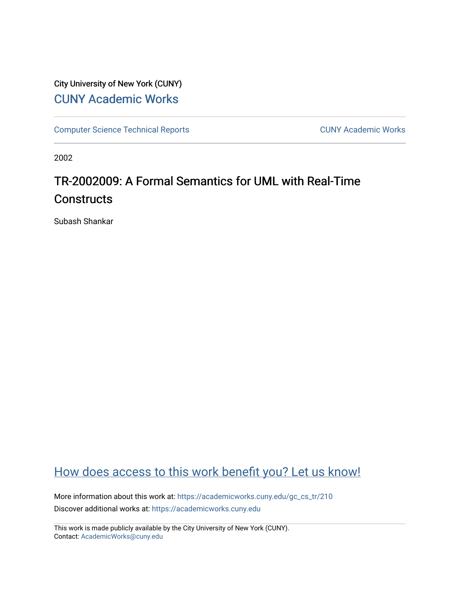## City University of New York (CUNY) [CUNY Academic Works](https://academicworks.cuny.edu/)

[Computer Science Technical Reports](https://academicworks.cuny.edu/gc_cs_tr) **CUNY Academic Works** CUNY Academic Works

2002

# TR-2002009: A Formal Semantics for UML with Real-Time **Constructs**

Subash Shankar

## [How does access to this work benefit you? Let us know!](http://ols.cuny.edu/academicworks/?ref=https://academicworks.cuny.edu/gc_cs_tr/210)

More information about this work at: [https://academicworks.cuny.edu/gc\\_cs\\_tr/210](https://academicworks.cuny.edu/gc_cs_tr/210)  Discover additional works at: [https://academicworks.cuny.edu](https://academicworks.cuny.edu/?)

This work is made publicly available by the City University of New York (CUNY). Contact: [AcademicWorks@cuny.edu](mailto:AcademicWorks@cuny.edu)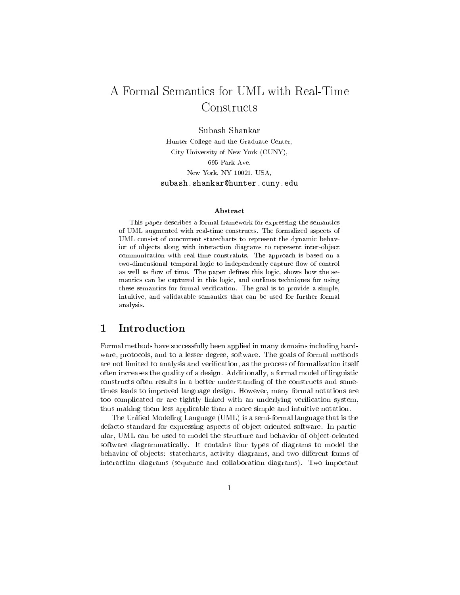## A Formal Semantics for UML with Real-Time Constructs

Subash Shankar Hunter College and the Graduate Center, City University of New York (CUNY), 695 Park Ave. New York, NY 10021, USA, subash.shankar@hunter.cuny.edu

### Abstract

This paper describes a formal framework for expressing the semantics of UML augmented with real-time constructs. The formalized aspects of UML consist of concurrent statecharts to represent the dynamic behavior of objects along with interaction diagrams to represent inter-object communication with real-time constraints. The approach is based on a two-dimensional temporal logic to independently capture flow of control as well as flow of time. The paper defines this logic, shows how the semantics can be captured in this logic, and outlines techniques for using these semantics for formal verification. The goal is to provide a simple, intuitive, and validatable semantics that can be used for further formal analysis.

#### 1Introduction

Formal methods have successfully been applied in many domains including hard ware, protocols, and to a lesser degree, software. The goals of formal methods are not limited to analysis and verification, as the process of formalization itself often increases the quality of a design. Additionally, a formal model of linguistic constructs often results in a better understanding of the constructs and sometimes leads to improved language design. However, many formal notations are too complicated or are tightly linked with an underlying verication system, thus making them less applicable than a more simple and intuitive notation.

The Unied Modeling Language (UML) is a semi-formal language that is the defacto standard for expressing aspects of ob ject-oriented software. In particular, UML can be used to model the structure and behavior of ob ject-oriented software diagrammatically. It contains four types of diagrams to model the behavior of objects: statecharts, activity diagrams, and two different forms of interaction diagrams (sequence and collaboration diagrams). Two important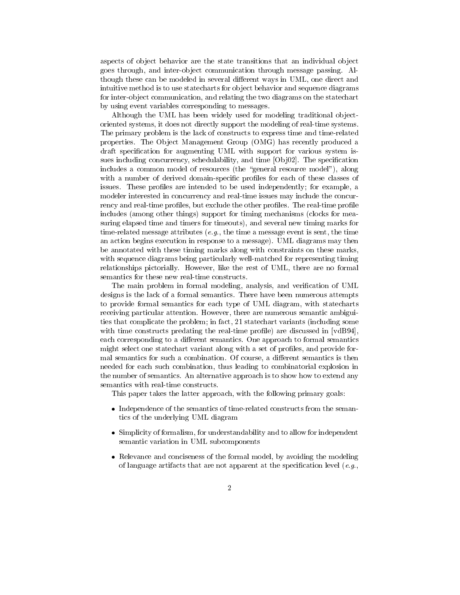aspects of object behavior are the state transitions that an individual object goes through, and inter-object communication through message passing. Although these can be modeled in several different ways in UML, one direct and intuitive method is to use state charts for object behavior and sequence diagrams for inter-ob ject communication, and relating the two diagrams on the statechart by using event variables corresponding to messages.

Although the UML has been widely used for modeling traditional ob jectoriented systems, it does not directly support the modeling of real-time systems. The primary problem is the lack of constructs to express time and time-related properties. The Object Management Group (OMG) has recently produced a draft specification for augmenting UML with support for various system issues including concurrency, schedulability, and time [Ob [02]. The specification includes a common model of resources (the "general resource model"), along with a number of derived domain-specific profiles for each of these classes of issues. These profiles are intended to be used independently; for example, a modeler interested in concurrency and real-time issues may include the concurrency and real-time profiles, but exclude the other profiles. The real-time profile includes (among other things) support for timing mechanisms (clocks for measuring elapsed time and timers for timeouts), and several new timing marks for time-related message attributes (e.g., the time a message event is sent, the time an action begins execution in response to a message). UML diagrams may then be annotated with these timing marks along with constraints on these marks, with sequence diagrams being particularly well-matched for representing timing relationships pictorially. However, like the rest of UML, there are no formal semantics for these new real-time constructs.

The main problem in formal modeling, analysis, and verification of UML designs is the lack of a formal semantics. There have been numerous attempts to provide formal semantics for each type of UML diagram, with statecharts receiving particular attention. However, there are numerous semantic ambiguities that complicate the problem; in fact, 21 statechart variants (including some with time constructs predating the real-time profile) are discussed in [vdB94], each corresponding to a different semantics. One approach to formal semantics might select one state chart variant along with a set of profiles, and provide formal semantics for such a combination. Of course, a different semantics is then needed for each such combination, thus leading to combinatorial explosion in the number of semantics. An alternative approach is to show how to extend any semantics with real-time constructs.

This paper takes the latter approach, with the following primary goals:

- Independence of the semantics of time-related constructs from the semantics of the underlying UML diagram
- Simplicity of formalism, for understandability and to allow for independent semantic variation in UML subcomponents
- Relevance and conciseness of the formal model, by avoiding the modeling of language artifacts that are not apparent at the specification level (e.g.,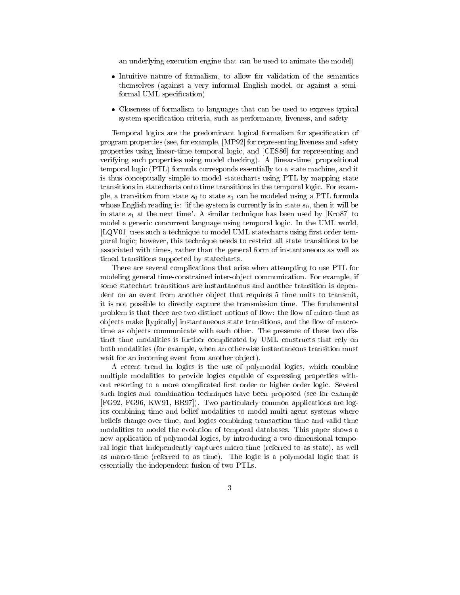an underlying execution engine that can be used to animate the model)

- Intuitive nature of formalism, to allow for validation of the semantics themselves (against a very informal English model, or against a semiformal UML specification)
- Closeness of formalism to languages that can be used to express typical system specification criteria, such as performance, liveness, and safety

Temporal logics are the predominant logical formalism for specication of program properties (see, for example, [MP92] for representing liveness and safety properties using linear-time temporal logic, and [CES86] for representing and verifying such properties using model checking). A [linear-time] propositional temporal logic (PTL) formula corresponds essentially to a state machine, and it is thus conceptually simple to model statecharts using PTL by mapping state transitions in statecharts onto time transitions in the temporal logic. For example, a transition from state  $s_0$  to state  $s_1$  can be modeled using a PTL formula whose English reading is: 'if the system is currently is in state  $s_0$ , then it will be in state  $s_1$  at the next time'. A similar technique has been used by [Kro87] to model a generic concurrent language using temporal logic. In the UML world, [ $LQV01$ ] uses such a technique to model UML statecharts using first order temporal logic; however, this technique needs to restrict all state transitions to be associated with times, rather than the general form of instantaneous as well as timed transitions supported by statecharts.

There are several complications that arise when attempting to use PTL for modeling general time-constrained inter-ob ject communication. For example, if some statechart transitions are instantaneous and another transition is dependent on an event from another object that requires 5 time units to transmit, it is not possible to directly capture the transmission time. The fundamental problem is that there are two distinct notions of flow: the flow of micro-time as objects make [typically] instantaneous state transitions, and the flow of macrotime as ob jects communicate with each other. The presence of these two distinct time modalities is further complicated by UML constructs that rely on both modalities (for example, when an otherwise instantaneous transition must wait for an incoming event from another object).

A recent trend in logics is the use of polymodal logics, which combine multiple modalities to provide logics capable of expressing properties without resorting to a more complicated first order or higher order logic. Several such logics and combination techniques have been proposed (see for example [FG92, FG96, KW91, BR97]). Two particularly common applications are logics combining time and belief modalities to model multi-agent systems where beliefs change over time, and logics combining transaction-time and valid-time modalities to model the evolution of temporal databases. This paper shows a new application of polymodal logics, by introducing a two-dimensional temporal logic that independently captures micro-time (referred to as state), as well as macro-time (referred to as time). The logic is a polymodal logic that is essentially the independent fusion of two PTLs.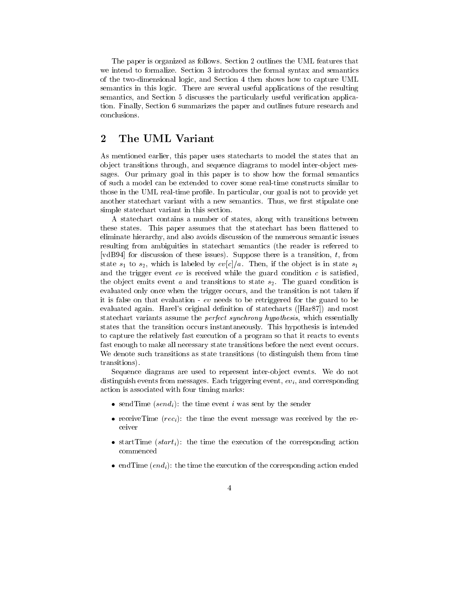The paper is organized as follows. Section 2 outlines the UML features that we intend to formalize. Section 3 introduces the formal syntax and semantics of the two-dimensional logic, and Section 4 then shows how to capture UML semantics in this logic. There are several useful applications of the resulting semantics, and Section 5 discusses the particularly useful verification application. Finally, Section 6 summarizes the paper and outlines future research and

## The UML Variant

As mentioned earlier, this paper uses statecharts to model the states that an object transitions through, and sequence diagrams to model inter-object messages. Our primary goal in this paper is to show how the formal semantics of such a model can be extended to cover some real-time constructs similar to those in the UML real-time profile. In particular, our goal is not to provide yet another statechart variant with a new semantics. Thus, we first stipulate one simple statechart variant in this section.

A statechart contains a number of states, along with transitions between these states. This paper assumes that the state chart has been flattened to eliminate hierarchy, and also avoids discussion of the numerous semantic issues resulting from ambiguities in statechart semantics (the reader is referred to [vdB94] for discussion of these issues). Suppose there is a transition,  $t$ , from state  $s_1$  to  $s_2$ , which is labeled by  $ev[c]/a$ . Then, if the object is in state  $s_1$ and the trigger event  $ev$  is received while the guard condition  $c$  is satisfied, the object emits event  $a$  and transitions to state  $s_2$ . The guard condition is evaluated only once when the trigger occurs, and the transition is not taken if it is false on that evaluation - ev needs to be retriggered for the guard to be evaluated again. Harel's original definition of state charts ([Har87]) and most statechart variants assume the perfect synchrony hypothesis, which essentially states that the transition occurs instantaneously. This hypothesis is intended to capture the relatively fast execution of a program so that it reacts to events fast enough to make all necessary state transitions before the next event occurs. We denote such transitions as state transitions (to distinguish them from time transitions).

Sequence diagrams are used to represent inter-object events. We do not distinguish events from messages. Each triggering event,  $ev_i$ , and corresponding action is associated with four timing marks:

- send Time  $(send_i)$ : the time event i was sent by the sender
- receiveTime (rec<sub>i</sub>): the time the event message was received by the receiver
- startTime (start<sub>i</sub>): the time the execution of the corresponding action commenced
- end Time  $(end_i)$ : the time the execution of the corresponding action ended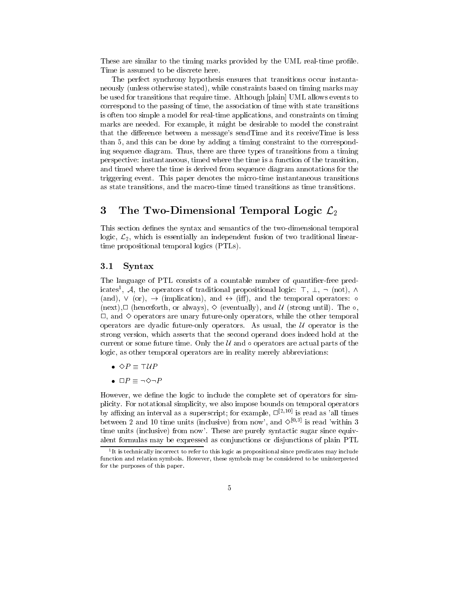These are similar to the timing marks provided by the UML real-time profile. Time is assumed to be discrete here.

The perfect synchrony hypothesis ensures that transitions occur instantaneously (unless otherwise stated), while constraints based on timing marks may be used for transitions that require time. Although [plain] UML allows events to correspond to the passing of time, the association of time with state transitions is often too simple a model for real-time applications, and constraints on timing marks are needed. For example, it might be desirable to model the constraint that the difference between a message's sendTime and its receiveTime is less than 5, and this can be done by adding a timing constraint to the corresponding sequence diagram. Thus, there are three types of transitions from a timing perspective: instantaneous, timed where the time is a function of the transition, and timed where the time is derived from sequence diagram annotations for the triggering event. This paper denotes the micro-time instantaneous transitions as state transitions, and the macro-time timed transitions as time transitions.

#### 3The Two-Dimensional Temporal Logic  $\mathcal{L}_2$

This section defines the syntax and semantics of the two-dimensional temporal logic,  $\mathcal{L}_2$ , which is essentially an independent fusion of two traditional lineartime propositional temporal logics (PTLs).

#### 3.1Syntax

The language of PTL consists of a countable number of quantifier-free predicates,  $A$ , the operators of traditional propositional logic:  $\top$ ,  $\bot$ ,  $\top$  (not),  $\land$ (and),  $\vee$  (or),  $\rightarrow$  (implication), and  $\leftrightarrow$  (iff), and the temporal operators:  $\circ$  $(\text{next})$ ,  $\Box$  (henceforth, or always),  $\diamond$  (eventually), and U (strong until). The  $\circ$ ,  $\Box$ , and  $\diamond$  operators are unary future-only operators, while the other temporal operators are dyadic future-only operators. As usual, the  $U$  operator is the strong version, which asserts that the second operand does indeed hold at the current or some future time. Only the  $U$  and  $\circ$  operators are actual parts of the logic, as other temporal operators are in reality merely abbreviations:

- $\bullet \ \Diamond P \equiv \top \mathcal{U} P$
- $\bullet$   $\Box P \equiv \neg \Diamond \neg P$

However, we define the logic to include the complete set of operators for simplicity. For notational simplicity, we also impose bounds on temporal operators by affixing an interval as a superscript; for example,  $\Box^{[2,10]}$  is read as 'all times between 2 and 10 time units (inclusive) from now', and  $\Diamond^{[0,3]}$  is read 'within 3 time units (inclusive) from now'. These are purely syntactic sugar since equivalent formulas may be expressed as conjunctions or disjunctions of plain PTL

<sup>1</sup> It is technically incorrect to refer to this logic as propositional since predicates may includefunction and relation symbols. However, these symbols may be considered to be uninterpretedfor the purposes of this paper.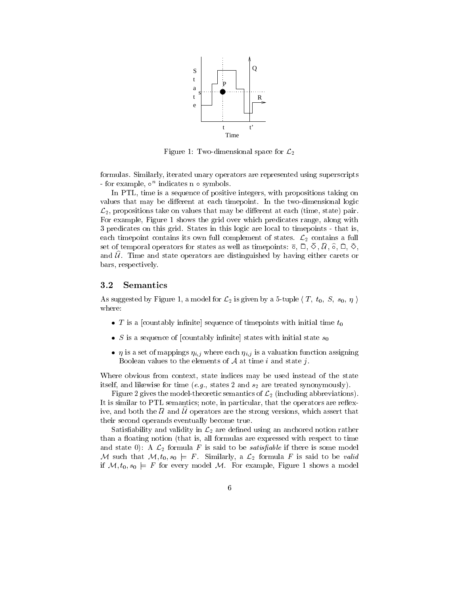

Figure 1: Two-dimensional space for  $\mathcal{L}_2$ 

formulas. Similarly, iterated unary operators are represented using superscripts - for example,  $\circ$  - mulcates if  $\circ$  symbols.

In PTL, time is a sequence of positive integers, with propositions taking on values that may be different at each timepoint. In the two-dimensional logic  $\mathcal{L}_2$ , propositions take on values that may be different at each (time, state) pair. For example, Figure 1 shows the grid over which predicates range, along with 3 predicates on this grid. States in this logic are local to timepoints - that is, each timepoint contains its own full complement of states.  $\mathcal{L}_2$  contains a full set of temporal operators for states as well as timepoints:  $\circ$ ,  $\sqcup$ ,  $\heartsuit$ ,  $\mathcal{U}$ ,  $\circ$ ,  $\sqcup$ ,  $\heartsuit$ , and  $\dot{\mathcal{U}}$ . Time and state operators are distinguished by having either carets or bars, respectively.

#### 3.2Semantics

As suggested by Figure 1, a model for  $\mathcal{L}_2$  is given by a 5-tuple  $\langle T, t_0, S, s_0, \eta \rangle$ where:

- T is a [countably infinite] sequence of timepoints with initial time  $t_0$
- S is a sequence of [countably infinite] states with initial state  $s_0$
- $\eta$  is a set of mappings  $\eta_{i,j}$  where each  $\eta_{i,j}$  is a valuation function assigning Boolean values to the elements of  $A$  at time i and state j.

Where obvious from context, state indices may be used instead of the state itself, and likewise for time (e.g., states 2 and  $s_2$  are treated synonymously).

Figure 2 gives the model-theoretic semantics of  $\mathcal{L}_2$  (including abbreviations). It is similar to PTL semantics; note, in particular, that the operators are reflexive, and both the  ${\cal U}$  and  ${\cal U}$  operators are the strong versions, which assert that their second operands eventually become true.

Satisfiability and validity in  $\mathcal{L}_2$  are defined using an anchored notion rather than a floating notion (that is, all formulas are expressed with respect to time and state 0): A  $\mathcal{L}_2$  formula F is said to be *satisfiable* if there is some model M such that  $M, t_0, s_0 \models F$ . Similarly, a  $\mathcal{L}_2$  formula F is said to be valid if  $\mathcal{M}, t_0, s_0 \models F$  for every model  $\mathcal{M}$ . For example, Figure 1 shows a model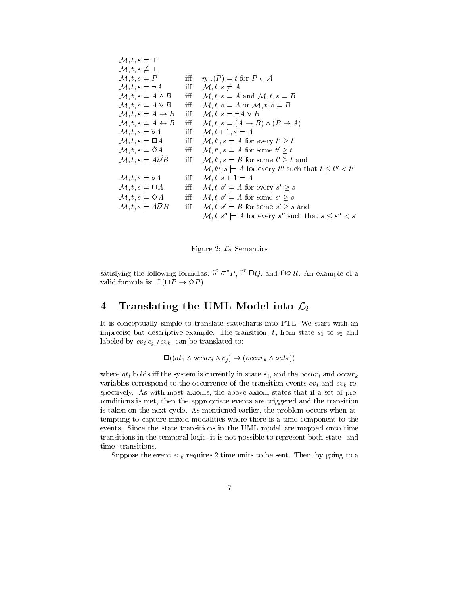| $\mathcal{M}, t, s \models \top$                  |     |                                                                             |
|---------------------------------------------------|-----|-----------------------------------------------------------------------------|
| $\mathcal{M}, t, s \not\models \bot$              |     |                                                                             |
| $\mathcal{M}, t, s \models P$                     | iff | $\eta_{t,s}(P) = t$ for $P \in \mathcal{A}$                                 |
| $\mathcal{M}, t, s \models \neg A$                | iff | $\mathcal{M}, t, s \not\models A$                                           |
| $\mathcal{M}, t, s \models A \land B$             | iff | $\mathcal{M}, t, s \models A$ and $\mathcal{M}, t, s \models B$             |
| $\mathcal{M}, t, s \models A \vee B$              | iff | $\mathcal{M}, t, s \models A$ or $\mathcal{M}, t, s \models B$              |
| $\mathcal{M}, t, s \models A \rightarrow B$       | iff | $\mathcal{M}, t, s \models \neg A \vee B$                                   |
| $\mathcal{M}, t, s \models A \leftrightarrow B$   | iff | $\mathcal{M}, t, s \models (A \rightarrow B) \land (B \rightarrow A)$       |
| $\mathcal{M}, t, s \models \hat{\circ} A$         | iff | $\mathcal{M}, t+1, s \models A$                                             |
| $\mathcal{M}, t, s \models \Box A$                | iff | $\mathcal{M}, t', s \models A$ for every $t' > t$                           |
| $\mathcal{M}, t, s \models \Diamond A$            | iff | $\mathcal{M}, t', s \models A$ for some $t' \geq t$                         |
| $\mathcal{M}, t, s \models A\hat{U}B$             | iff | $\mathcal{M}, t', s \models B$ for some $t' \geq t$ and                     |
|                                                   |     | $\mathcal{M}, t'', s \models A$ for every $t''$ such that $t \leq t'' < t'$ |
| $\mathcal{M}, t, s \models \overline{\circ}A$     | iff | $\mathcal{M}, t, s + 1 \models A$                                           |
| $\mathcal{M}, t, s \models \overline{\Box} A$     | iff | $\mathcal{M}, t, s' \models A$ for every $s' > s$                           |
| $\mathcal{M}, t, s \models \overline{\Diamond} A$ | iff | $\mathcal{M}, t, s' \models A$ for some $s' \geq s$                         |
| $\mathcal{M}, t, s \models A\overline{U}B$        | iff | $\mathcal{M}, t, s' \models B$ for some $s' \geq s$ and                     |
|                                                   |     | $\mathcal{M}, t, s'' \models A$ for every s'' such that $s \leq s'' < s'$   |

Figure 2:  $\mathcal{L}_2$  Semantics

satisfying the following formulas:  $\widehat{\circ}^t \widehat{\circ}^s P$ ,  $\widehat{\circ}^t \bar{\Box} Q$ , and  $\widehat{\Box \Diamond} R$ . An example of a valid formula is:  $\widehat{\Box} (\bar{\Box} P \rightarrow \bar{\Diamond} P)$ .

### 4Translating the UML Model into  $\mathcal{L}_2$

It is conceptually simple to translate statecharts into PTL. We start with an imprecise but descriptive example. The transition,  $t$ , from state  $s_1$  to  $s_2$  and labeled by  $ev_i[c_j]/ev_k$ , can be translated to:

$$
\Box((at_1 \land occur_i \land c_j) \rightarrow (occur_k \land \circ at_2))
$$

where  $at_i$  holds iff the system is currently in state  $s_i$ , and the *occur<sub>i</sub>* and *occur<sub>k</sub>* variables correspond to the occurrence of the transition events  $ev_i$  and  $ev_k$  respectively. As with most axioms, the above axiom states that if a set of preconditions is met, then the appropriate events are triggered and the transition is taken on the next cycle. As mentioned earlier, the problem occurs when attempting to capture mixed modalities where there is a time component to the events. Since the state transitions in the UML model are mapped onto time transitions in the temporal logic, it is not possible to represent both state- and time- transitions.

Suppose the event  $ev_k$  requires 2 time units to be sent. Then, by going to a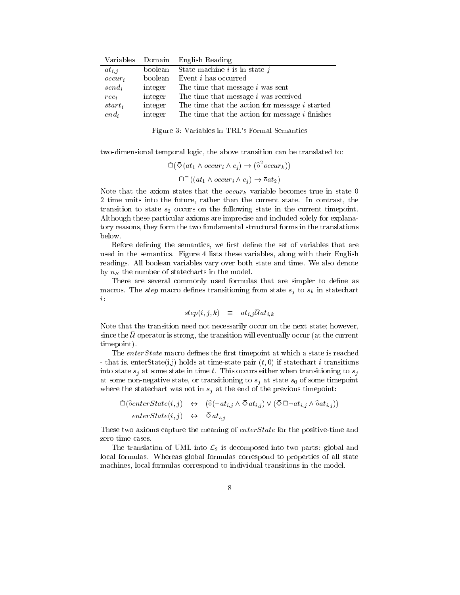| Variables Domain |         | English Reading                                       |
|------------------|---------|-------------------------------------------------------|
| $at_{i,j}$       | boolean | State machine $i$ is in state $j$                     |
| $occur_i$        | boolean | Event <i>i</i> has occurred                           |
| $send_i$         | integer | The time that message <i>i</i> was sent               |
| $rec_i$          | integer | The time that message $i$ was received                |
| $start_i$        | integer | The time that the action for message <i>i</i> started |
| $end_i$          | integer | The time that the action for message $i$ finishes     |

Figure 3: Variables in TRL's Formal Semantics

two-dimensional temporal logic, the above transition can be translated to:

 $\Box (\Diamond (at_1 \land occur_i \land c_j) \rightarrow ( \circ "occur_k))$  $\Box\Box$  ( $(at_1 \wedge occur_i \wedge c_j) \rightarrow \circ at_2$ )

Note that the axiom states that the  $occur_k$  variable becomes true in state 0 2 time units into the future, rather than the current state. In contrast, the transition to state  $s_2$  occurs on the following state in the current timepoint. Although these particular axioms are imprecise and included solely for explanatory reasons, they form the two fundamental structural forms in the translations below.

Before defining the semantics, we first define the set of variables that are used in the semantics. Figure 4 lists these variables, along with their English readings. All boolean variables vary over both state and time. We also denote by  $n<sub>S</sub>$  the number of statecharts in the model.

There are several commonly used formulas that are simpler to define as macros. The *step* macro defines transitioning from state  $s_j$  to  $s_k$  in statechart

$$
step(i, j, k) \equiv at_{i, j} \bar{U}at_{i, k}
$$

Note that the transition need not necessarily occur on the next state; however, since the  ${\cal U}$  operator is strong, the transition will eventually occur (at the current timepoint).

The enterState macro defines the first timepoint at which a state is reached - that is, enterState $(i,j)$  holds at time-state pair  $(t, 0)$  if statechart i transitions into state  $s_j$  at some state in time t. This occurs either when transitioning to  $s_j$ at some non-negative state, or transitioning to  $s_i$  at state  $s_0$  of some timepoint where the statechart was not in  $s_j$  at the end of the previous timepoint:

$$
\begin{array}{rcl}\n\bigcap (\widehat{\circ}enterState(i,j) & \leftrightarrow & (\widehat{\circ}(\neg at_{i,j} \land \Diamond at_{i,j}) \lor (\Diamond \Box \neg at_{i,j} \land \widehat{\circ} at_{i,j})) \\
\text{enterState}(i,j) & \leftrightarrow & \widehat{\Diamond} at_{i,j}\n\end{array}
$$

These two axioms capture the meaning of enterState for the positive-time and zero-time cases.

The translation of UML into  $\mathcal{L}_2$  is decomposed into two parts: global and local formulas. Whereas global formulas correspond to properties of all state machines, local formulas correspond to individual transitions in the model.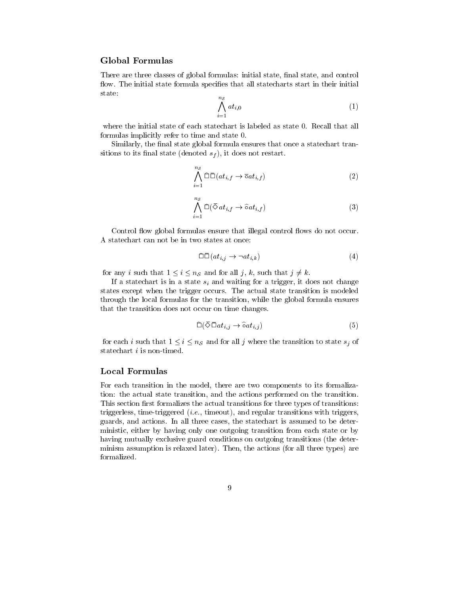There are three classes of global formulas: initial state, final state, and control flow. The initial state formula specifies that all state charts start in their initial state:

$$
\bigwedge_{i=1}^{n_{\mathcal{S}}} at_{i,0} \tag{1}
$$

where the initial state of each statechart is labeled as state 0. Recall that all formulas implicitly refer to time and state 0.

Similarly, the final state global formula ensures that once a statechart transitions to its final state (denoted  $s_f$ ), it does not restart.

$$
\bigwedge_{i=1}^{n_{\mathcal{S}}} \widehat{\Box} \left( a t_{i,f} \to \overline{\circ} a t_{i,f} \right) \tag{2}
$$

$$
\bigwedge_{i=1}^{n_S} \mathbb{C}(\overline{\Diamond} at_{i,f} \to \widehat{\circ} at_{i,f})
$$
\n(3)

Control flow global formulas ensure that illegal control flows do not occur. A statechart can not be in two states at once:

$$
\widehat{\Box} \Box (at_{i,j} \to \neg at_{i,k}) \tag{4}
$$

for any i such that  $1 \le i \le n_{\mathcal{S}}$  and for all j, k, such that  $j \ne k$ .

If a statechart is in a state  $s_i$  and waiting for a trigger, it does not change states except when the trigger occurs. The actual state transition is modeled through the local formulas for the transition, while the global formula ensures that the transition does not occur on time changes.

$$
\widehat{\Box}(\overline{\Diamond}\,\overline{\Box}\,at_{i,j}\to\widehat{\circ}at_{i,j})\tag{5}
$$

for each *i* such that  $1 \leq i \leq n_{\mathcal{S}}$  and for all *j* where the transition to state  $s_j$  of statechart i is non-timed.

### Local Formulas

For each transition in the model, there are two components to its formalization: the actual state transition, and the actions performed on the transition. This section first formalizes the actual transitions for three types of transitions: triggerless, time-triggered (i.e., timeout), and regular transitions with triggers, guards, and actions. In all three cases, the statechart is assumed to be deterministic, either by having only one outgoing transition from each state or by having mutually exclusive guard conditions on outgoing transitions (the determinism assumption is relaxed later). Then, the actions (for all three types) are formalized.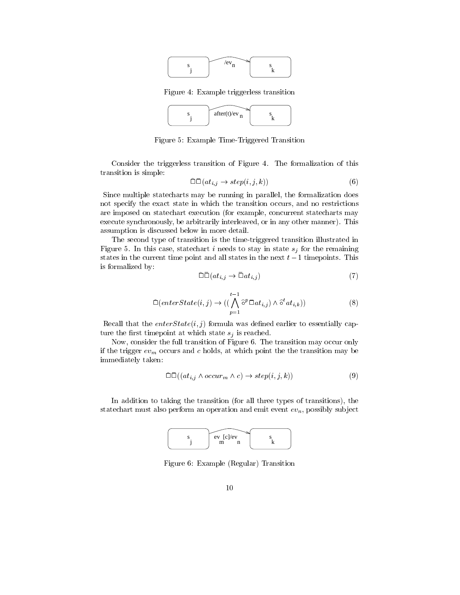

Figure 4: Example triggerless transition



Figure 5: Example Time-Triggered Transition

Consider the triggerless transition of Figure 4. The formalization of this transition is simple:

$$
\widehat{\Box\Box}(at_{i,j} \to step(i,j,k))\tag{6}
$$

Since multiple statecharts may be running in parallel, the formalization does not specify the exact state in which the transition occurs, and no restrictions are imposed on statechart execution (for example, concurrent statecharts may execute synchronously, be arbitrarily interleaved, or in any other manner). This assumption is discussed below in more detail.

The second type of transition is the time-triggered transition illustrated in Figure 5. In this case, state chart i needs to stay in state  $s_i$  for the remaining states in the current time point and all states in the next  $t-1$  timepoints. This is formalized by:

$$
\Box \overline{\Box} (at_{i,j} \to \overline{\Box} at_{i,j}) \tag{7}
$$

$$
\mathcal{D}(enterState(i,j) \to ((\bigwedge_{p=1}^{t-1} \widehat{\circ}^p \mathbb{D}at_{i,j}) \wedge \widehat{\circ}^t at_{i,k}))
$$
\n(8)

Recall that the  $enterState(i, j)$  formula was defined earlier to essentially capture the first timepoint at which state  $s_j$  is reached.

Now, consider the full transition of Figure 6. The transition may occur only if the trigger  $ev_m$  occurs and c holds, at which point the the transition may be immediately taken:

$$
\widehat{\Box}((at_{i,j} \land occur_m \land c) \to step(i,j,k))
$$
\n(9)

In addition to taking the transition (for all three types of transitions), the statechart must also perform an operation and emit event  $ev_n$ , possibly subject



Figure 6: Example (Regular) Transition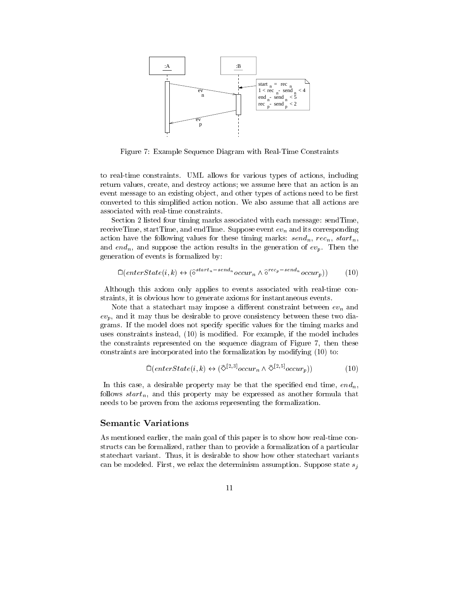

Figure 7: Example Sequence Diagram with Real-Time Constraints

to real-time constraints. UML allows for various types of actions, including return values, create, and destroy actions; we assume here that an action is an event message to an existing object, and other types of actions need to be first converted to this simplied action notion. We also assume that all actions are associated with real-time constraints.

Section 2 listed four timing marks associated with each message: sendTime, receiveTime, startTime, and endTime. Suppose event  $ev_n$  and its corresponding action have the following values for these timing marks:  $send_n$ ,  $rec_n$ ,  $start_n$ , and end<sub>n</sub>, and suppose the action results in the generation of  $ev_p$ . Then the generation of events is formalized by:

$$
\hat{\Box}(enterState(i,k) \leftrightarrow (\hat{\circ}^{start_n-send_n} occurs_n \wedge \hat{\circ}^{rec_p-send_n} occurs_p))
$$
 (10)

Although this axiom only applies to events associated with real-time constraints, it is obvious how to generate axioms for instantaneous events.

Note that a statechart may impose a different constraint between  $ev_n$  and  $ev_p$ , and it may thus be desirable to prove consistency between these two diagrams. If the model does not specify specic values for the timing marks and uses constraints instead, (10) is modied. For example, if the model includes the constraints represented on the sequence diagram of Figure 7, then these constraints are incorporated into the formalization by modifying (10) to:

$$
\widehat{\Box}(enterState(i,k) \leftrightarrow (\widehat{\Diamond}^{[2,3]}occur_n \land \widehat{\Diamond}^{[2,5]}occur_p))
$$
\n(10)

In this case, a desirable property may be that the specified end time,  $end_n$ , follows  $start_n$ , and this property may be expressed as another formula that needs to be proven from the axioms representing the formalization.

### semantic variations of the contract of the contract of the contract of the contract of the contract of the contract of the contract of the contract of the contract of the contract of the contract of the contract of the con

As mentioned earlier, the main goal of this paper is to show how real-time constructs can be formalized, rather than to provide a formalization of a particular statechart variant. Thus, it is desirable to show how other statechart variants can be modeled. First, we relax the determinism assumption. Suppose state  $s_i$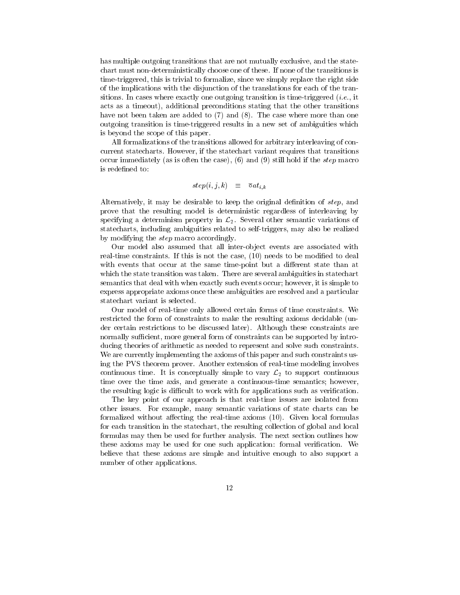has multiple outgoing transitions that are not mutually exclusive, and the statechart must non-deterministically choose one of these. If none of the transitions is time-triggered, this is trivial to formalize, since we simply replace the right side of the implications with the disjunction of the translations for each of the transitions. In cases where exactly one outgoing transition is time-triggered  $(i.e., it)$ acts as a timeout), additional preconditions stating that the other transitions have not been taken are added to (7) and (8). The case where more than one outgoing transition is time-triggered results in a new set of ambiguities which is beyond the scope of this paper.

All formalizations of the transitions allowed for arbitrary interleaving of concurrent statecharts. However, if the statechart variant requires that transitions occur immediately (as is often the case),  $(6)$  and  $(9)$  still hold if the *step* macro is redefined to:

$$
step(i,j,k) \equiv \overline{\circ}at_{i,k}
$$

Alternatively, it may be desirable to keep the original definition of  $step$ , and prove that the resulting model is deterministic regardless of interleaving by specifying a determinism property in  $\mathcal{L}_2$ . Several other semantic variations of statecharts, including ambiguities related to self-triggers, may also be realized by modifying the step macro accordingly.

Our model also assumed that all inter-ob ject events are associated with real-time constraints. If this is not the case, (10) needs to be modified to deal with events that occur at the same time-point but a different state than at which the state transition was taken. There are several ambiguities in statechart semantics that deal with when exactly such events occur; however, it is simple to express appropriate axioms once these ambiguities are resolved and a particular statechart variant is selected.

Our model of real-time only allowed certain forms of time constraints. We restricted the form of constraints to make the resulting axioms decidable (under certain restrictions to be discussed later). Although these constraints are normally sufficient, more general form of constraints can be supported by introducing theories of arithmetic as needed to represent and solve such constraints. We are currently implementing the axioms of this paper and such constraints using the PVS theorem prover. Another extension of real-time modeling involves continuous time. It is conceptually simple to vary  $\mathcal{L}_2$  to support continuous time over the time axis, and generate a continuous-time semantics; however, the resulting logic is difficult to work with for applications such as verification.

The key point of our approach is that real-time issues are isolated from other issues. For example, many semantic variations of state charts can be formalized without affecting the real-time axioms  $(10)$ . Given local formulas for each transition in the statechart, the resulting collection of global and local formulas may then be used for further analysis. The next section outlines how these axioms may be used for one such application: formal verification. We believe that these axioms are simple and intuitive enough to also support a number of other applications.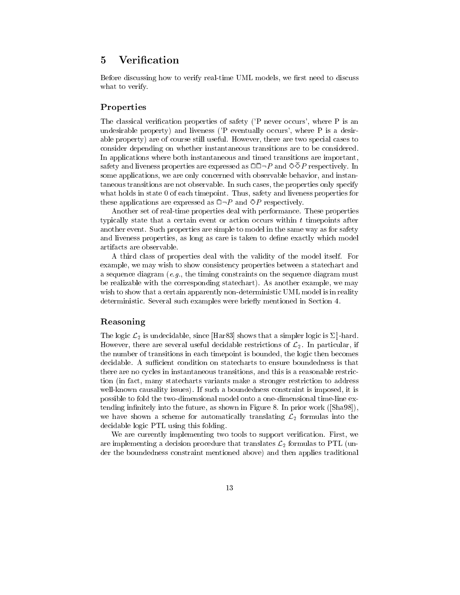#### 5**Verification**

Before discussing how to verify real-time UML models, we first need to discuss what to verify.

## Properties

The classical verification properties of safety  $($ <sup>'</sup>P never occurs<sup>'</sup>, where P is an undesirable property) and liveness ('P eventually occurs', where P is a desirable property) are of course still useful. However, there are two special cases to consider depending on whether instantaneous transitions are to be considered. In applications where both instantaneous and timed transitions are important, safety and liveness properties are expressed as  $\sqcup \sqcup \neg P$  and  $\Diamond \Diamond P$  respectively. In some applications, we are only concerned with observable behavior, and instantaneous transitions are not observable. In such cases, the properties only specify what holds in state 0 of each timepoint. Thus, safety and liveness properties for these applications are expressed as  $\Box \neg P$  and  $\Diamond P$  respectively.

Another set of real-time properties deal with performance. These properties typically state that a certain event or action occurs within  $t$  timepoints after another event. Such properties are simple to model in the same way as for safety and liveness properties, as long as care is taken to dene exactly which model artifacts are observable.

A third class of properties deal with the validity of the model itself. For example, we may wish to show consistency properties between a statechart and a sequence diagram  $(e.g.,\)$  the timing constraints on the sequence diagram must be realizable with the corresponding statechart). As another example, we may wish to show that a certain apparently non-deterministic UML model is in reality deterministic. Several such examples were briefly mentioned in Section 4.

## Reasoning

The logic  $\mathcal{L}_2$  is undecladele, since  $[\text{Har}\infty]$  shows that a simpler logic is  $\mathcal{L}_1^-$ -hard. However, there are several useful decidable restrictions of  $\mathcal{L}_2$ . In particular, if the number of transitions in each timepoint is bounded, the logic then becomes decidable. A sufficient condition on state charts to ensure boundedness is that there are no cycles in instantaneous transitions, and this is a reasonable restriction (in fact, many statecharts variants make a stronger restriction to address well-known causality issues). If such a boundedness constraint is imposed, it is possible to fold the two-dimensional model onto a one-dimensional time-line extending infinitely into the future, as shown in Figure 8. In prior work ([Sha98]), we have shown a scheme for automatically translating  $\mathcal{L}_2$  formulas into the decidable logic PTL using this folding.

We are currently implementing two tools to support verification. First, we are implementing a decision procedure that translates  $\mathcal{L}_2$  formulas to PTL (under the boundedness constraint mentioned above) and then applies traditional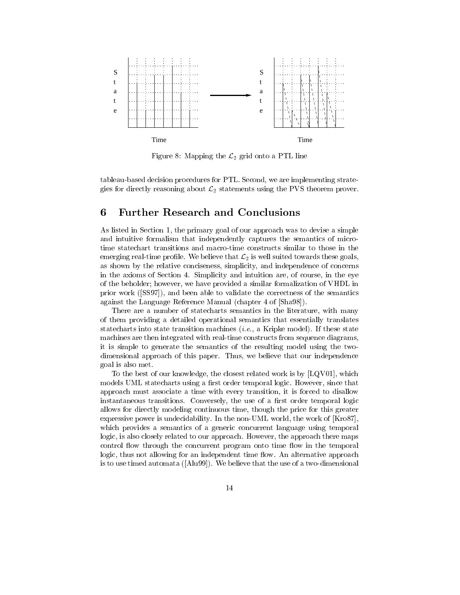

Figure 8: Mapping the  $\mathcal{L}_2$  grid onto a PTL line

tableau-based decision procedures for PTL. Second, we are implementing strategies for directly reasoning about  $\mathcal{L}_2$  statements using the PVS theorem prover.

#### 6Further Research and Conclusions

As listed in Section 1, the primary goal of our approach was to devise a simple and intuitive formalism that independently captures the semantics of microtime statechart transitions and macro-time constructs similar to those in the emerging real-time profile. We believe that  $\mathcal{L}_2$  is well suited towards these goals, as shown by the relative conciseness, simplicity, and independence of concerns in the axioms of Section 4. Simplicity and intuition are, of course, in the eye of the beholder; however, we have provided a similar formalization of VHDL in prior work ([SS97]), and been able to validate the correctness of the semantics against the Language Reference Manual (chapter 4 of [Sha98]).

There are a number of statecharts semantics in the literature, with many of them providing a detailed operational semantics that essentially translates statecharts into state transition machines (i.e., a Kripke model). If these state machines are then integrated with real-time constructs from sequence diagrams, it is simple to generate the semantics of the resulting model using the twodimensional approach of this paper. Thus, we believe that our independence goal is also met.

To the best of our knowledge, the closest related work is by [LQV01], which models UML statecharts using a first order temporal logic. However, since that approach must associate a time with every transition, it is forced to disallow instantaneous transitions. Conversely, the use of a first order temporal logic allows for directly modeling continuous time, though the price for this greater expressive power is undecidability. In the non-UML world, the work of [Kro87], which provides a semantics of a generic concurrent language using temporal logic, is also closely related to our approach. However, the approach there maps control flow through the concurrent program onto time flow in the temporal logic, thus not allowing for an independent time flow. An alternative approach is to use timed automata ([Alu99]). We believe that the use of a two-dimensional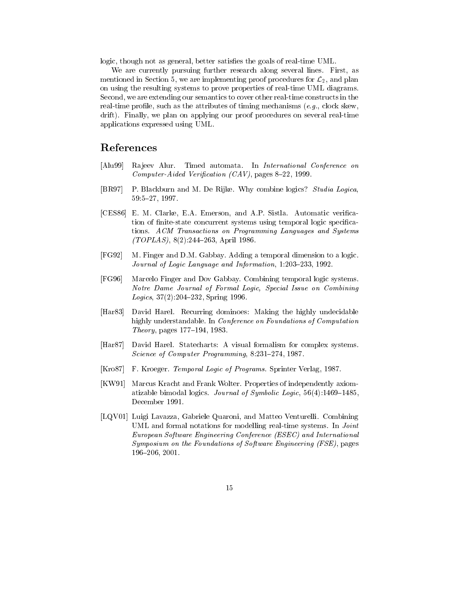logic, though not as general, better satisfies the goals of real-time UML.

We are currently pursuing further research along several lines. First, as mentioned in Section 5, we are implementing proof procedures for  $\mathcal{L}_2$ , and plan on using the resulting systems to prove properties of real-time UML diagrams. Second, we are extending our semantics to cover other real-time constructs in the real-time profile, such as the attributes of timing mechanisms  $(e.g., clock skew,$ drift). Finally, we plan on applying our proof procedures on several real-time applications expressed using UML.

## References

- [Alu99] Rajeev Alur. Timed automata. In International Conference on  $Computer-Aided\ Verification (CAV), pages 8–22, 1999.$
- [BR97] P. Blackburn and M. De Rijke. Why combine logics? Studia Logica, 59:5{27, 1997.
- [CES86] E. M. Clarke, E.A. Emerson, and A.P. Sistla. Automatic verication of finite-state concurrent systems using temporal logic specifications. ACM Transactions on Programming Languages and Systems  $(TOPLAS)$ , 8(2):244-263, April 1986.
- [FG92] M. Finger and D.M. Gabbay. Adding a temporal dimension to a logic. Journal of Logic Language and Information, 1:203-233, 1992.
- [FG96] Marcelo Finger and Dov Gabbay. Combining temporal logic systems. Notre Dame Journal of Formal Logic, Special Issue on Combining *Logics*,  $37(2):204-232$ , Spring 1996.
- [Har83] David Harel. Recurring dominoes: Making the highly undecidable highly understandable. In Conference on Foundations of Computation Theory, pages  $177-194$ , 1983.
- [Har87] David Harel. Statecharts: A visual formalism for complex systems. Science of Computer Programming, 8:231-274, 1987.
- [Kro87] F. Kroeger. Temporal Logic of Programs. Sprinter Verlag, 1987.
- [KW91] Marcus Kracht and Frank Wolter. Properties of independently axiomatizable bimodal logics. Journal of Symbolic Logic,  $56(4):1469-1485$ , December 1991.
- [LQV01] Luigi Lavazza, Gabriele Quaroni, and Matteo Venturelli. Combining UML and formal notations for modelling real-time systems. In *Joint* European Software Engineering Conference (ESEC) and International Symposium on the Foundations of Software Engineering (FSE), pages 196{206, 2001.